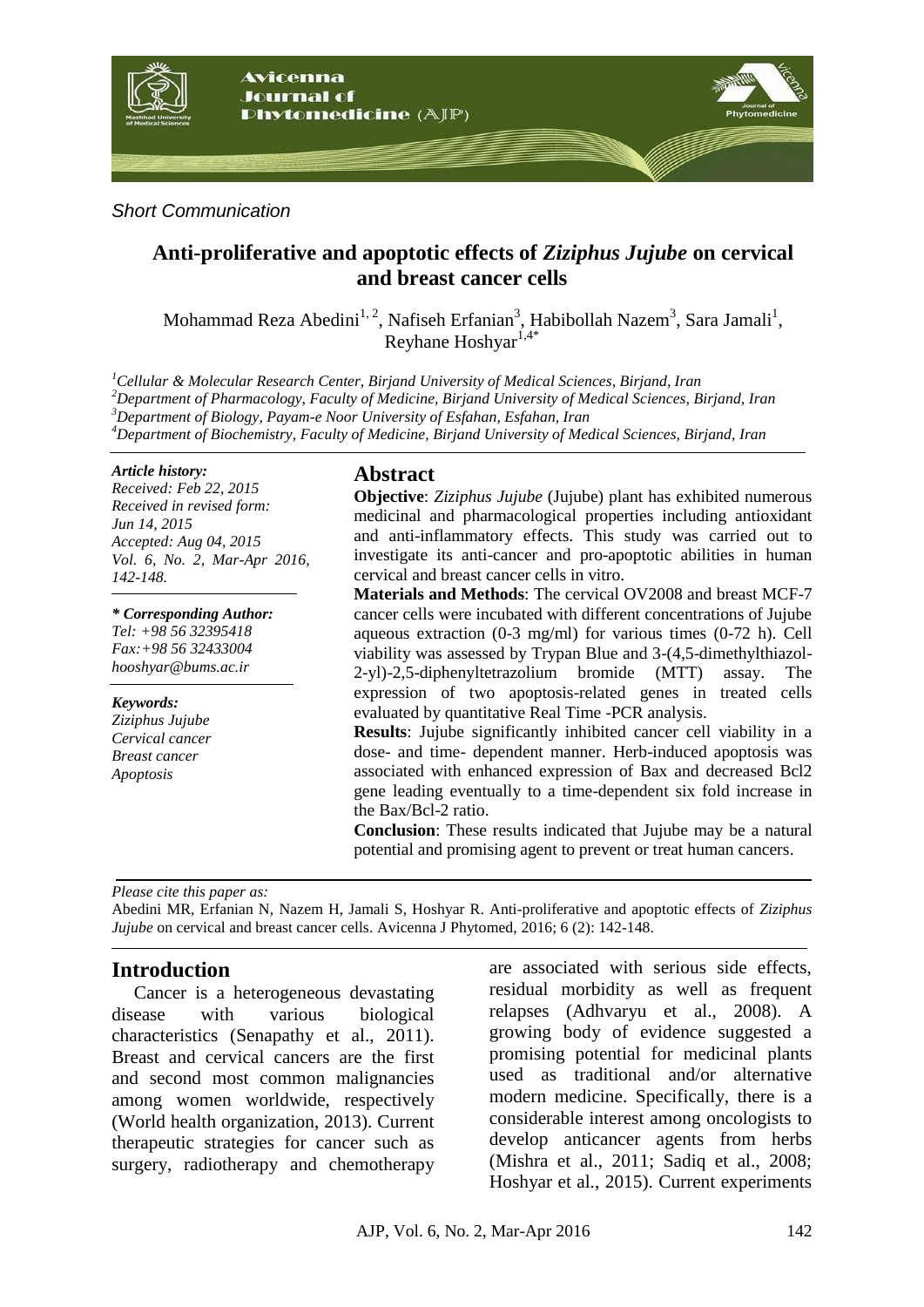

*Short Communication*

# **Anti-proliferative and apoptotic effects of** *Ziziphus Jujube* **on cervical and breast cancer cells**

Mohammad Reza Abedini<sup>1, 2</sup>, Nafiseh Erfanian<sup>3</sup>, Habibollah Nazem<sup>3</sup>, Sara Jamali<sup>1</sup>, Reyhane Hoshyar $1,4$ <sup>\*</sup>

*Cellular & Molecular Research Center, Birjand University of Medical Sciences, Birjand, Iran Department of Pharmacology, Faculty of Medicine, Birjand University of Medical Sciences, Birjand, Iran Department of Biology, Payam-e Noor University of Esfahan, Esfahan, Iran Department of Biochemistry, Faculty of Medicine, Birjand University of Medical Sciences, Birjand, Iran*

#### *Article history:*

*Received: Feb 22, 2015 Received in revised form: Jun 14, 2015 Accepted: Aug 04, 2015 Vol. 6, No. 2, Mar-Apr 2016, 142-148.*

*\* Corresponding Author: Tel: +98 56 32395418 Fax:+98 56 32433004 hooshyar@bums.ac.ir*

*Keywords: Ziziphus Jujube Cervical cancer Breast cancer Apoptosis*

#### **Abstract**

**Objective**: *Ziziphus Jujube* (Jujube) plant has exhibited numerous medicinal and pharmacological properties including antioxidant and anti-inflammatory effects. This study was carried out to investigate its anti-cancer and pro-apoptotic abilities in human cervical and breast cancer cells in vitro.

**Materials and Methods**: The cervical OV2008 and breast MCF-7 cancer cells were incubated with different concentrations of Jujube aqueous extraction (0-3 mg/ml) for various times (0-72 h). Cell viability was assessed by Trypan Blue and 3-(4,5-dimethylthiazol-2-yl)-2,5-diphenyltetrazolium bromide (MTT) assay. The expression of two apoptosis-related genes in treated cells evaluated by quantitative Real Time -PCR analysis.

**Results**: Jujube significantly inhibited cancer cell viability in a dose- and time- dependent manner. Herb-induced apoptosis was associated with enhanced expression of Bax and decreased Bcl2 gene leading eventually to a time-dependent six fold increase in the Bax/Bcl-2 ratio.

**Conclusion**: These results indicated that Jujube may be a natural potential and promising agent to prevent or treat human cancers.

*Please cite this paper as:* 

Abedini MR, Erfanian N, Nazem H, Jamali S, Hoshyar R. Anti-proliferative and apoptotic effects of *Ziziphus Jujube* on cervical and breast cancer cells. Avicenna J Phytomed, 2016; 6 (2): 142-148.

## **Introduction**

Cancer is a heterogeneous devastating disease with various biological characteristics (Senapathy et al., 2011). Breast and cervical cancers are the first and second most common malignancies among women worldwide, respectively (World health organization, 2013). Current therapeutic strategies for cancer such as surgery, radiotherapy and chemotherapy

are associated with serious side effects, residual morbidity as well as frequent relapses (Adhvaryu et al., 2008). A growing body of evidence suggested a promising potential for medicinal plants used as traditional and/or alternative modern medicine. Specifically, there is a considerable interest among oncologists to develop anticancer agents from herbs (Mishra et al., 2011; Sadiq et al., 2008; Hoshyar et al., 2015). Current experiments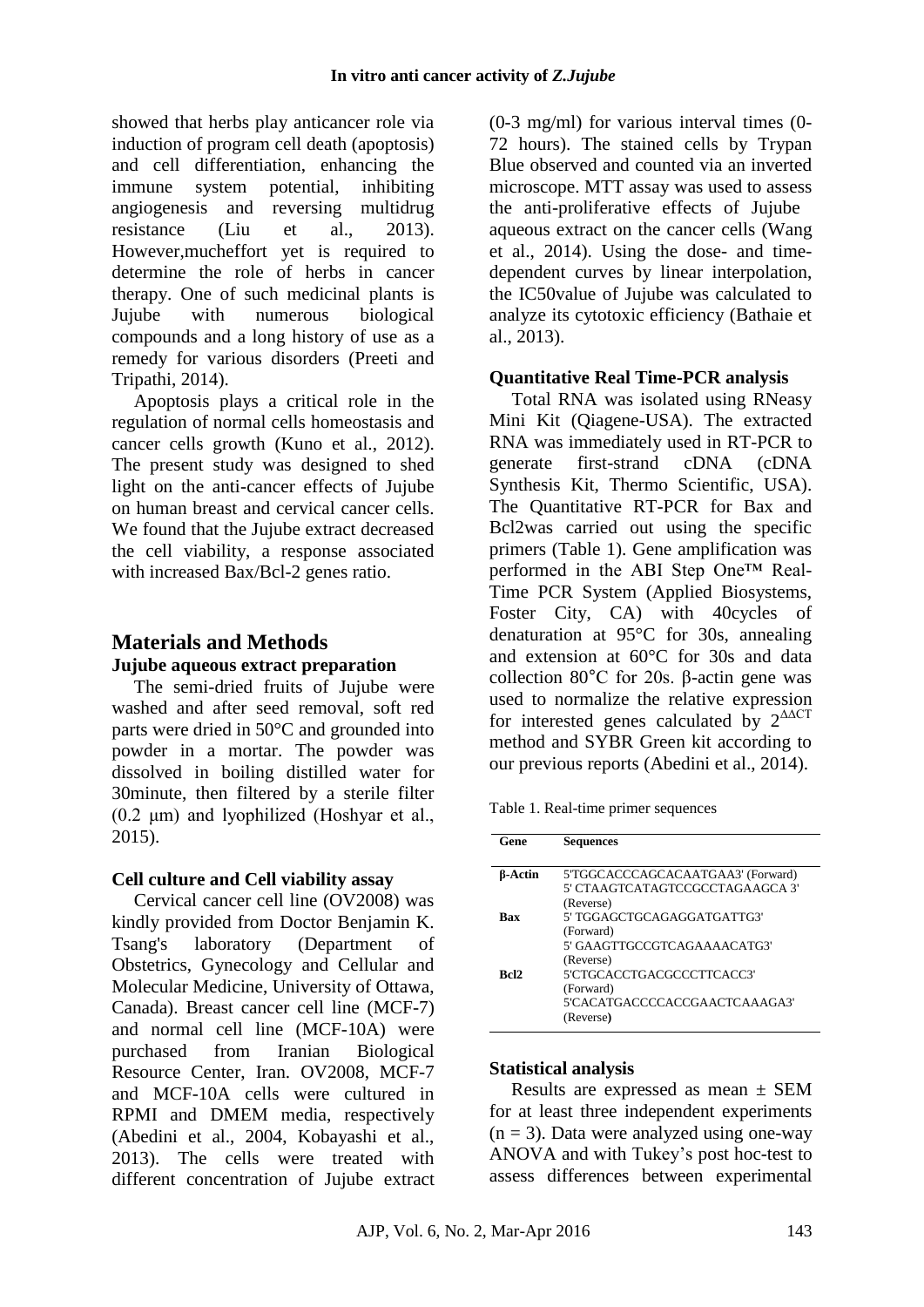showed that herbs play anticancer role via induction of program cell death (apoptosis) and cell differentiation, enhancing the immune system potential, inhibiting angiogenesis and reversing multidrug resistance (Liu et al., 2013). However,mucheffort yet is required to determine the role of herbs in cancer therapy. One of such medicinal plants is Jujube with numerous biological compounds and a long history of use as a remedy for various disorders (Preeti and Tripathi, 2014).

Apoptosis plays a critical role in the regulation of normal cells homeostasis and cancer cells growth (Kuno et al., 2012). The present study was designed to shed light on the anti-cancer effects of Jujube on human breast and cervical cancer cells. We found that the Jujube extract decreased the cell viability, a response associated with increased Bax/Bcl-2 genes ratio.

# **Materials and Methods**

## **Jujube aqueous extract preparation**

The semi-dried fruits of Jujube were washed and after seed removal, soft red parts were dried in 50°C and grounded into powder in a mortar. The powder was dissolved in boiling distilled water for 30minute, then filtered by a sterile filter (0.2 μm) and lyophilized (Hoshyar et al., 2015).

## **Cell culture and Cell viability assay**

Cervical cancer cell line (OV2008) was kindly provided from Doctor Benjamin K. Tsang's laboratory (Department of Obstetrics, Gynecology and Cellular and Molecular Medicine, University of Ottawa, Canada). Breast cancer cell line (MCF-7) and normal cell line (MCF-10A) were purchased from Iranian Biological Resource Center, Iran. OV2008, MCF-7 and MCF-10A cells were cultured in RPMI and DMEM media, respectively (Abedini et al., 2004, Kobayashi et al., 2013). The cells were treated with different concentration of Jujube extract (0-3 mg/ml) for various interval times (0- 72 hours). The stained cells by Trypan Blue observed and counted via an inverted microscope. MTT assay was used to assess the anti-proliferative effects of Jujube aqueous extract on the cancer cells (Wang et al., 2014). Using the dose- and timedependent curves by linear interpolation, the IC50value of Jujube was calculated to analyze its cytotoxic efficiency (Bathaie et al., 2013).

## **Quantitative Real Time-PCR analysis**

Total RNA was isolated using RNeasy Mini Kit (Qiagene-USA). The extracted RNA was immediately used in RT-PCR to generate first-strand cDNA (cDNA Synthesis Kit, Thermo Scientific, USA). The Quantitative RT-PCR for Bax and Bcl2was carried out using the specific primers (Table 1). Gene amplification was performed in the ABI Step One™ Real-Time PCR System (Applied Biosystems, Foster City, CA) with 40cycles of denaturation at 95°C for 30s, annealing and extension at 60°C for 30s and data collection 80°C for 20s. β-actin gene was used to normalize the relative expression for interested genes calculated by  $2^{\Delta\Delta CT}$ method and SYBR Green kit according to our previous reports (Abedini et al., 2014).

Table 1. Real-time primer sequences

| Gene           | <b>Sequences</b>                                                                     |
|----------------|--------------------------------------------------------------------------------------|
| <b>B-Actin</b> | 5'TGGCACCCAGCACAATGAA3' (Forward)<br>5' CTAAGTCATAGTCCGCCTAGAAGCA 3'<br>(Reverse)    |
| <b>Bax</b>     | 5' TGGAGCTGCAGAGGATGATTG3'<br>(Forward)<br>5' GAAGTTGCCGTCAGAAAACATG3'<br>(Reverse)  |
| <b>Bel2</b>    | 5'CTGCACCTGACGCCCTTCACC3'<br>(Forward)<br>5'CACATGACCCCACCGAACTCAAAGA3'<br>(Reverse) |

#### **Statistical analysis**

Results are expressed as mean ± SEM for at least three independent experiments  $(n = 3)$ . Data were analyzed using one-way ANOVA and with Tukey's post hoc-test to assess differences between experimental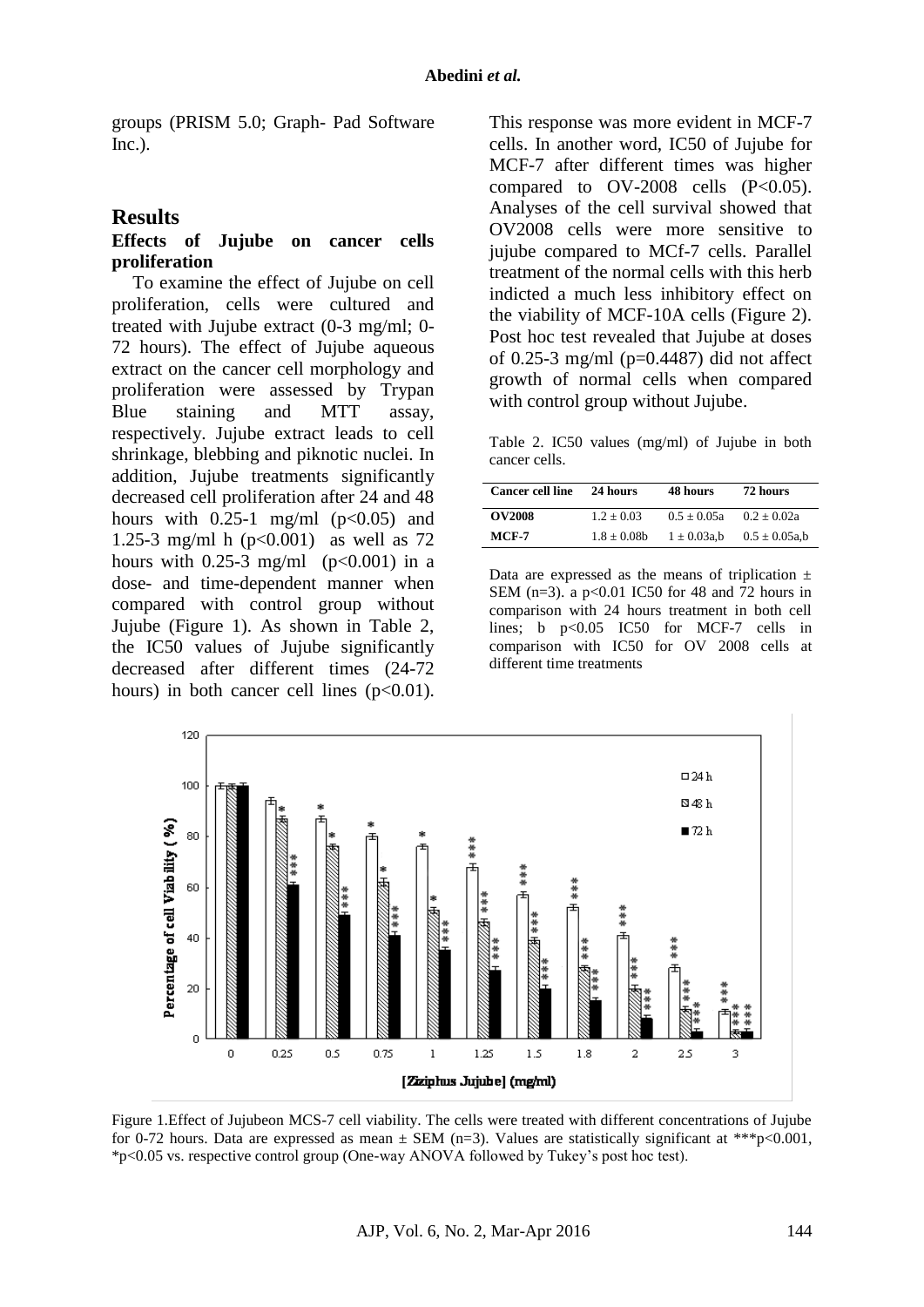groups (PRISM 5.0; Graph- Pad Software Inc.).

#### **Results**

#### **Effects of Jujube on cancer cells proliferation**

To examine the effect of Jujube on cell proliferation, cells were cultured and treated with Jujube extract (0-3 mg/ml; 0- 72 hours). The effect of Jujube aqueous extract on the cancer cell morphology and proliferation were assessed by Trypan Blue staining and MTT assay, respectively. Jujube extract leads to cell shrinkage, blebbing and piknotic nuclei. In addition, Jujube treatments significantly decreased cell proliferation after 24 and 48 hours with  $0.25-1$  mg/ml  $(p<0.05)$  and 1.25-3 mg/ml h (p<0.001) as well as 72 hours with  $0.25-3$  mg/ml (p<0.001) in a dose- and time-dependent manner when compared with control group without Jujube (Figure 1). As shown in Table 2, the IC50 values of Jujube significantly decreased after different times (24-72 hours) in both cancer cell lines  $(p<0.01)$ .

This response was more evident in MCF-7 cells. In another word, IC50 of Jujube for MCF-7 after different times was higher compared to  $OV-2008$  cells  $(P<0.05)$ . Analyses of the cell survival showed that OV2008 cells were more sensitive to jujube compared to MCf-7 cells. Parallel treatment of the normal cells with this herb indicted a much less inhibitory effect on the viability of MCF-10A cells (Figure 2). Post hoc test revealed that Jujube at doses of 0.25-3 mg/ml ( $p=0.4487$ ) did not affect growth of normal cells when compared with control group without Jujube.

Table 2. IC50 values (mg/ml) of Jujube in both cancer cells.

| <b>Cancer cell line</b> | 24 hours     | 48 hours         | 72 hours           |
|-------------------------|--------------|------------------|--------------------|
| <b>OV2008</b>           | $1.2 + 0.03$ | $0.5 + 0.05a$    | $0.2 + 0.02a$      |
| $MCF-7$                 | $1.8 + 0.08$ | $1 \pm 0.03$ a.b | $0.5 \pm 0.05$ a.b |

Data are expressed as the means of triplication  $\pm$ SEM (n=3). a  $p<0.01$  IC50 for 48 and 72 hours in comparison with 24 hours treatment in both cell lines; b p<0.05 IC50 for MCF-7 cells in comparison with IC50 for OV 2008 cells at different time treatments



Figure 1.Effect of Jujubeon MCS-7 cell viability. The cells were treated with different concentrations of Jujube for 0-72 hours. Data are expressed as mean  $\pm$  SEM (n=3). Values are statistically significant at \*\*\*p<0.001, \*p<0.05 vs. respective control group (One-way ANOVA followed by Tukey's post hoc test).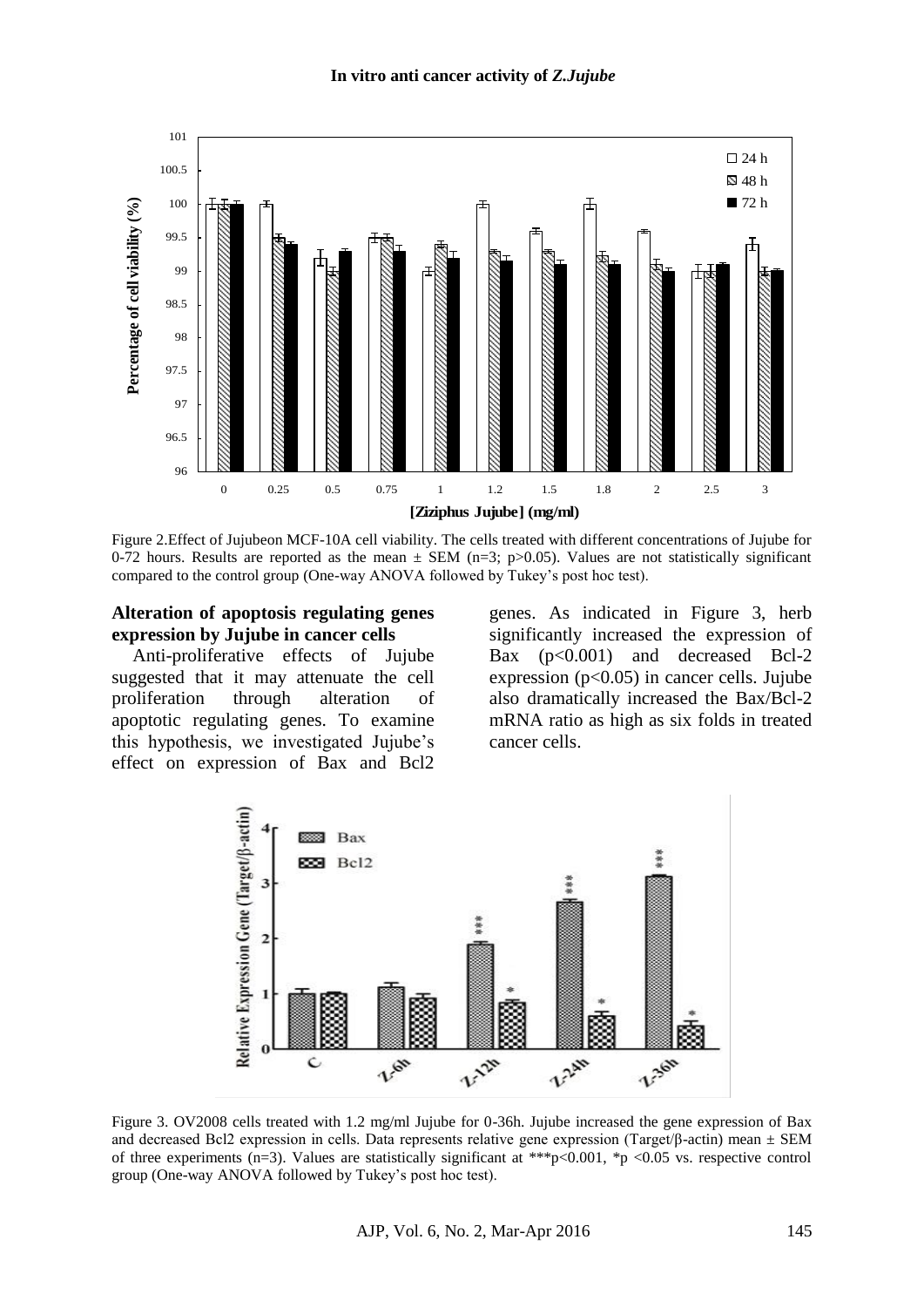

Figure 2.Effect of Jujubeon MCF-10A cell viability. The cells treated with different concentrations of Jujube for 0-72 hours. Results are reported as the mean  $\pm$  SEM (n=3; p>0.05). Values are not statistically significant compared to the control group (One-way ANOVA followed by Tukey's post hoc test).

#### **Alteration of apoptosis regulating genes expression by Jujube in cancer cells**

Anti-proliferative effects of Jujube suggested that it may attenuate the cell proliferation through alteration of apoptotic regulating genes. To examine this hypothesis, we investigated Jujube's effect on expression of Bax and Bcl2

genes. As indicated in Figure 3, herb significantly increased the expression of Bax (p<0.001) and decreased Bcl-2 expression  $(p<0.05)$  in cancer cells. Jujube also dramatically increased the Bax/Bcl-2 mRNA ratio as high as six folds in treated cancer cells.



Figure 3. OV2008 cells treated with 1.2 mg/ml Jujube for 0-36h. Jujube increased the gene expression of Bax and decreased Bcl2 expression in cells. Data represents relative gene expression (Target/β-actin) mean  $\pm$  SEM of three experiments (n=3). Values are statistically significant at \*\*\*p<0.001, \*p <0.05 vs. respective control group (One-way ANOVA followed by Tukey's post hoc test).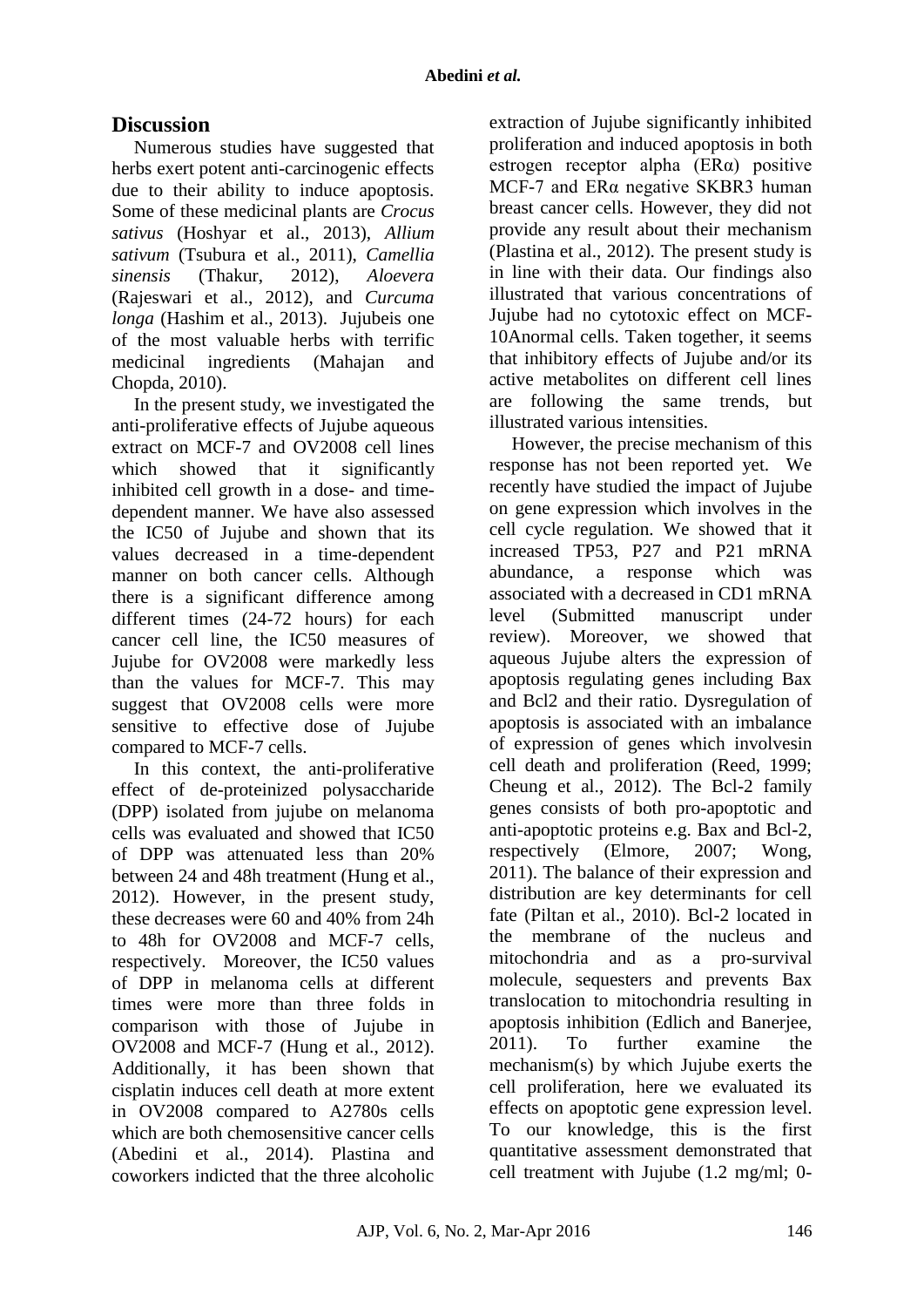# **Discussion**

Numerous studies have suggested that herbs exert potent anti-carcinogenic effects due to their ability to induce apoptosis. Some of these medicinal plants are *Crocus sativus* (Hoshyar et al., 2013), *Allium sativum* (Tsubura et al., 2011), *Camellia sinensis* (Thakur, 2012), *Aloevera* (Rajeswari et al., 2012), and *Curcuma longa* (Hashim et al., 2013). Jujubeis one of the most valuable herbs with terrific medicinal ingredients (Mahajan and Chopda, 2010).

In the present study, we investigated the anti-proliferative effects of Jujube aqueous extract on MCF-7 and OV2008 cell lines which showed that it significantly inhibited cell growth in a dose- and timedependent manner. We have also assessed the IC50 of Jujube and shown that its values decreased in a time-dependent manner on both cancer cells. Although there is a significant difference among different times (24-72 hours) for each cancer cell line, the IC50 measures of Jujube for OV2008 were markedly less than the values for MCF-7. This may suggest that OV2008 cells were more sensitive to effective dose of Jujube compared to MCF-7 cells.

In this context, the anti-proliferative effect of de-proteinized polysaccharide (DPP) isolated from jujube on melanoma cells was evaluated and showed that IC50 of DPP was attenuated less than 20% between 24 and 48h treatment [\(Hung](http://www.phcogrev.com/article.asp?issn=0973-7847;year=2009;volume=3;issue=6;spage=320;epage=329;aulast=Mahajan#ref40) et al., 2012). However, in the present study, these decreases were 60 and 40% from 24h to 48h for OV2008 and MCF-7 cells, respectively. Moreover, the IC50 values of DPP in melanoma cells at different times were more than three folds in comparison with those of Jujube in OV2008 and MCF-7 [\(Hung](http://www.phcogrev.com/article.asp?issn=0973-7847;year=2009;volume=3;issue=6;spage=320;epage=329;aulast=Mahajan#ref40) et al., 2012). Additionally, it has been shown that cisplatin induces cell death at more extent in OV2008 compared to A2780s cells which are both chemosensitive cancer cells (Abedini et al., 2014). Plastina and coworkers indicted that the three alcoholic

extraction of Jujube significantly inhibited proliferation and induced apoptosis in both estrogen receptor alpha (ERα) positive MCF-7 and ERα negative SKBR3 human breast cancer cells. However, they did not provide any result about their mechanism (Plastina et al., 2012). The present study is in line with their data. Our findings also illustrated that various concentrations of Jujube had no cytotoxic effect on MCF-10Anormal cells. Taken together, it seems that inhibitory effects of Jujube and/or its active metabolites on different cell lines are following the same trends, but illustrated various intensities.

However, the precise mechanism of this response has not been reported yet. We recently have studied the impact of Jujube on gene expression which involves in the cell cycle regulation. We showed that it increased TP53, P27 and P21 mRNA abundance, a response which was associated with a decreased in CD1 mRNA level (Submitted manuscript under review). Moreover, we showed that aqueous Jujube alters the expression of apoptosis regulating genes including Bax and Bcl2 and their ratio. Dysregulation of apoptosis is associated with an imbalance of expression of genes which involvesin cell death and proliferation (Reed, 1999; Cheung et al., 2012). The Bcl-2 family genes consists of both pro-apoptotic and anti-apoptotic proteins e.g. Bax and Bcl-2, respectively (Elmore, 2007; Wong, 2011). The balance of their expression and distribution are key determinants for cell fate (Piltan et al., 2010). Bcl-2 located in the membrane of the nucleus and mitochondria and as a pro-survival molecule, sequesters and prevents Bax translocation to mitochondria resulting in apoptosis inhibition (Edlich and Banerjee, 2011). To further examine the mechanism(s) by which Jujube exerts the cell proliferation, here we evaluated its effects on apoptotic gene expression level. To our knowledge, this is the first quantitative assessment demonstrated that cell treatment with Jujube (1.2 mg/ml; 0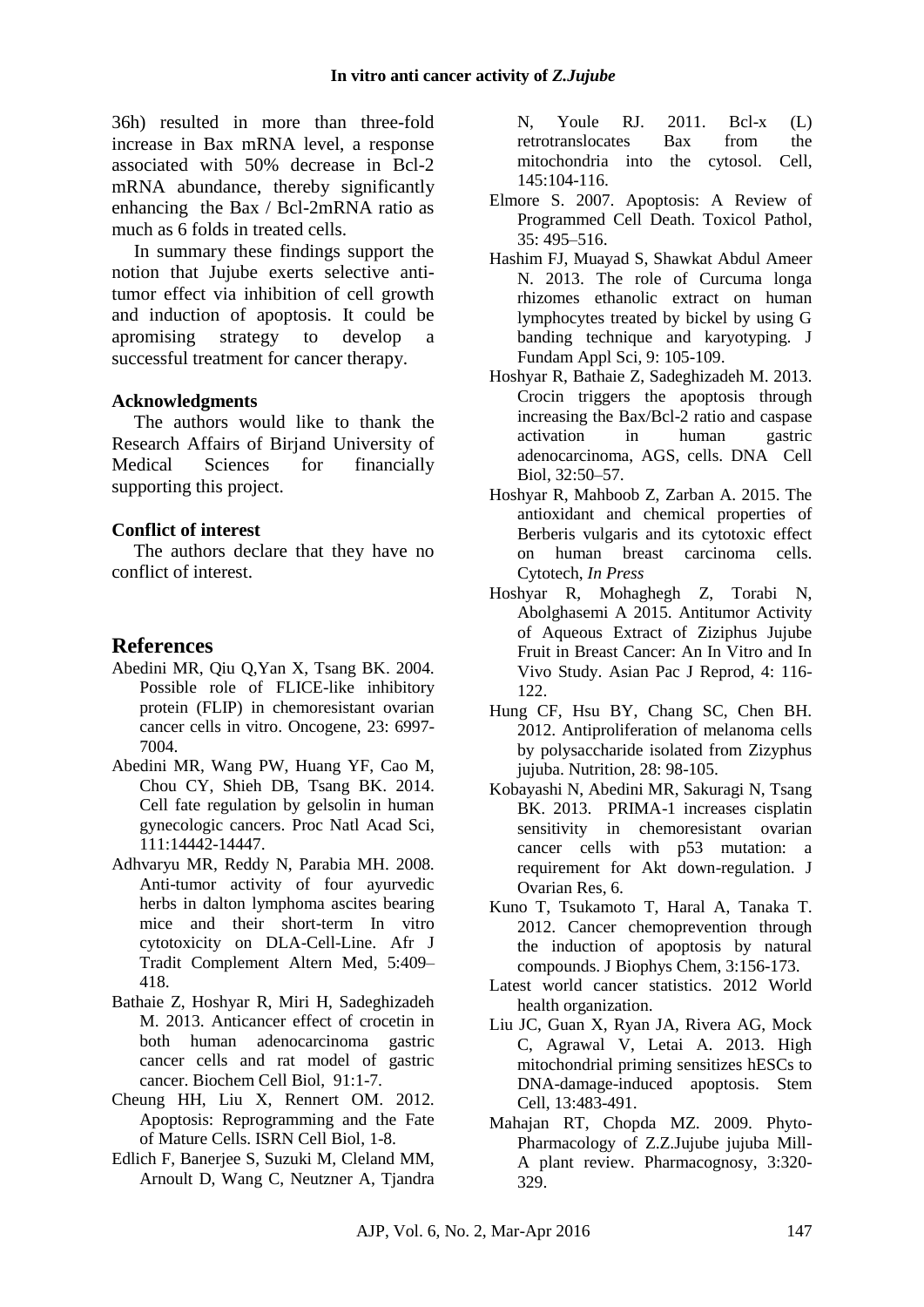36h) resulted in more than three-fold increase in Bax mRNA level, a response associated with 50% decrease in Bcl-2 mRNA abundance, thereby significantly enhancing the Bax / Bcl-2mRNA ratio as much as 6 folds in treated cells.

In summary these findings support the notion that Jujube exerts selective antitumor effect via inhibition of cell growth and induction of apoptosis. It could be apromising strategy to develop a successful treatment for cancer therapy.

#### **Acknowledgments**

The authors would like to thank the Research Affairs of Birjand University of Medical Sciences for financially supporting this project.

#### **Conflict of interest**

The authors declare that they have no conflict of interest.

# **References**

- Abedini MR, Qiu Q,Yan X, Tsang BK. 2004. Possible role of FLICE-like inhibitory protein (FLIP) in chemoresistant ovarian cancer cells in vitro. Oncogene, 23: 6997- 7004.
- Abedini MR, Wang PW, Huang YF, Cao M, Chou CY, Shieh DB, Tsang BK. 2014. Cell fate regulation by gelsolin in human gynecologic cancers. Proc Natl Acad Sci, 111:14442-14447.
- Adhvaryu MR, Reddy N, Parabia MH. 2008. Anti-tumor activity of four ayurvedic herbs in dalton lymphoma ascites bearing mice and their short-term In vitro cytotoxicity on DLA-Cell-Line. Afr J Tradit Complement Altern Med, 5:409– 418.
- Bathaie Z, Hoshyar R, Miri H, Sadeghizadeh M. 2013. Anticancer effect of crocetin in both human adenocarcinoma gastric cancer cells and rat model of gastric cancer. Biochem Cell Biol, 91:1-7.
- Cheung HH, Liu X, Rennert OM. 2012. Apoptosis: Reprogramming and the Fate of Mature Cells. ISRN Cell Biol, 1-8.
- Edlich F, Banerjee S, Suzuki M, Cleland MM, Arnoult D, Wang C, Neutzner A, Tjandra

N, Youle RJ. 2011. Bcl-x (L) retrotranslocates Bax from the mitochondria into the cytosol. Cell, 145:104-116.

- Elmore S. 2007. Apoptosis: A Review of Programmed Cell Death. Toxicol Pathol, 35: 495–516.
- Hashim FJ, Muayad S, Shawkat Abdul Ameer N. 2013. The role of Curcuma longa rhizomes ethanolic extract on human lymphocytes treated by bickel by using G banding technique and karyotyping. J Fundam Appl Sci, 9: 105-109.
- Hoshyar R, Bathaie Z, Sadeghizadeh M. 2013. Crocin triggers the apoptosis through increasing the Bax/Bcl-2 ratio and caspase activation in human gastric adenocarcinoma, AGS, cells. DNA Cell Biol, 32:50–57.
- Hoshyar R, Mahboob Z, Zarban A. 2015. The antioxidant and chemical properties of Berberis vulgaris and its cytotoxic effect on human breast carcinoma cells. Cytotech, *In Press*
- Hoshyar R, Mohaghegh Z, Torabi N, Abolghasemi A 2015. Antitumor Activity of Aqueous Extract of Ziziphus Jujube Fruit in Breast Cancer: An In Vitro and In Vivo Study. Asian Pac J Reprod, 4: 116- 122.
- Hung CF, Hsu BY, Chang SC, Chen BH. 2012. Antiproliferation of melanoma cells by polysaccharide isolated from Zizyphus jujuba. Nutrition, 28: 98-105.
- Kobayashi N, Abedini MR, Sakuragi N, Tsang BK. 2013. PRIMA-1 increases cisplatin sensitivity in chemoresistant ovarian cancer cells with p53 mutation: a requirement for Akt down-regulation. J Ovarian Res, 6.
- Kuno T, Tsukamoto T, Haral A, Tanaka T. 2012. Cancer chemoprevention through the induction of apoptosis by natural compounds. J Biophys Chem, 3:156-173.
- Latest world cancer statistics. 2012 World health organization.
- Liu JC, Guan X, Ryan JA, Rivera AG, Mock C, Agrawal V, Letai A. 2013. High mitochondrial priming sensitizes hESCs to DNA-damage-induced apoptosis. Stem Cell, 13:483-491.
- Mahajan RT, Chopda MZ. 2009. Phyto-Pharmacology of Z.Z.Jujube jujuba Mill-A plant review. Pharmacognosy, 3:320- 329.